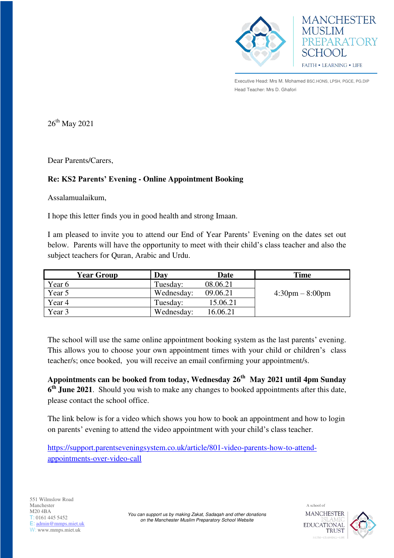



Executive Head: Mrs M. Mohamed BSC.HONS, LPSH, PGCE, PG.DIP Head Teacher: Mrs D. Ghafori

 $26^{th}$  May 2021

Dear Parents/Carers,

## **Re: KS2 Parents' Evening - Online Appointment Booking**

Assalamualaikum,

I hope this letter finds you in good health and strong Imaan.

I am pleased to invite you to attend our End of Year Parents' Evening on the dates set out below. Parents will have the opportunity to meet with their child's class teacher and also the subject teachers for Quran, Arabic and Urdu.

| <b>Year Group</b> | Day        | <b>Date</b> | <b>Time</b>                       |
|-------------------|------------|-------------|-----------------------------------|
| Year 6            | Tuesday:   | 08.06.21    |                                   |
| Year 5            | Wednesday: | 09.06.21    | $4:30 \text{pm} - 8:00 \text{pm}$ |
| Year 4            | Tuesday:   | 15.06.21    |                                   |
| Year 3            | Wednesday: | 16.06.21    |                                   |

The school will use the same online appointment booking system as the last parents' evening. This allows you to choose your own appointment times with your child or children's class teacher/s; once booked, you will receive an email confirming your appointment/s.

**Appointments can be booked from today, Wednesday 26th May 2021 until 4pm Sunday 6 th June 2021**. Should you wish to make any changes to booked appointments after this date, please contact the school office.

The link below is for a video which shows you how to book an appointment and how to login on parents' evening to attend the video appointment with your child's class teacher.

[https://support.parentseveningsystem.co.uk/article/801-video-parents-how-to-attend](https://support.parentseveningsystem.co.uk/article/801-video-parents-how-to-attend-appointments-over-video-call)[appointments-over-video-call](https://support.parentseveningsystem.co.uk/article/801-video-parents-how-to-attend-appointments-over-video-call)